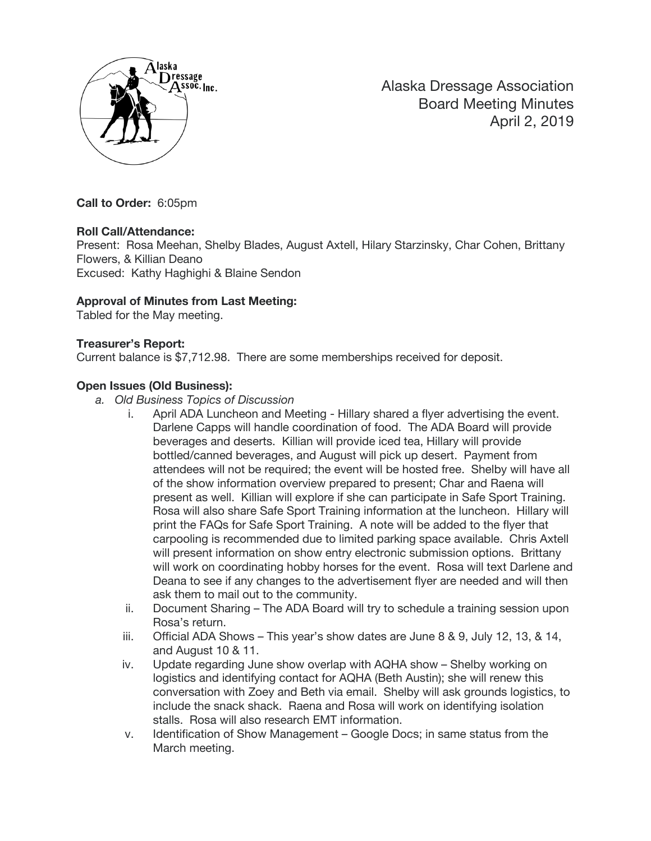

Alaska Dressage Association Board Meeting Minutes April 2, 2019

**Call to Order:** 6:05pm

### **Roll Call/Attendance:**

Present: Rosa Meehan, Shelby Blades, August Axtell, Hilary Starzinsky, Char Cohen, Brittany Flowers, & Killian Deano Excused: Kathy Haghighi & Blaine Sendon

### **Approval of Minutes from Last Meeting:**

Tabled for the May meeting.

#### **Treasurer's Report:**

Current balance is \$7,712.98. There are some memberships received for deposit.

### **Open Issues (Old Business):**

- *a. Old Business Topics of Discussion*
	- i. April ADA Luncheon and Meeting Hillary shared a flyer advertising the event. Darlene Capps will handle coordination of food. The ADA Board will provide beverages and deserts. Killian will provide iced tea, Hillary will provide bottled/canned beverages, and August will pick up desert. Payment from attendees will not be required; the event will be hosted free. Shelby will have all of the show information overview prepared to present; Char and Raena will present as well. Killian will explore if she can participate in Safe Sport Training. Rosa will also share Safe Sport Training information at the luncheon. Hillary will print the FAQs for Safe Sport Training. A note will be added to the flyer that carpooling is recommended due to limited parking space available. Chris Axtell will present information on show entry electronic submission options. Brittany will work on coordinating hobby horses for the event. Rosa will text Darlene and Deana to see if any changes to the advertisement flyer are needed and will then ask them to mail out to the community.
	- ii. Document Sharing The ADA Board will try to schedule a training session upon Rosa's return.
	- iii. Official ADA Shows This year's show dates are June 8 & 9, July 12, 13, & 14, and August 10 & 11.
	- iv. Update regarding June show overlap with AQHA show Shelby working on logistics and identifying contact for AQHA (Beth Austin); she will renew this conversation with Zoey and Beth via email. Shelby will ask grounds logistics, to include the snack shack. Raena and Rosa will work on identifying isolation stalls. Rosa will also research EMT information.
	- v. Identification of Show Management Google Docs; in same status from the March meeting.